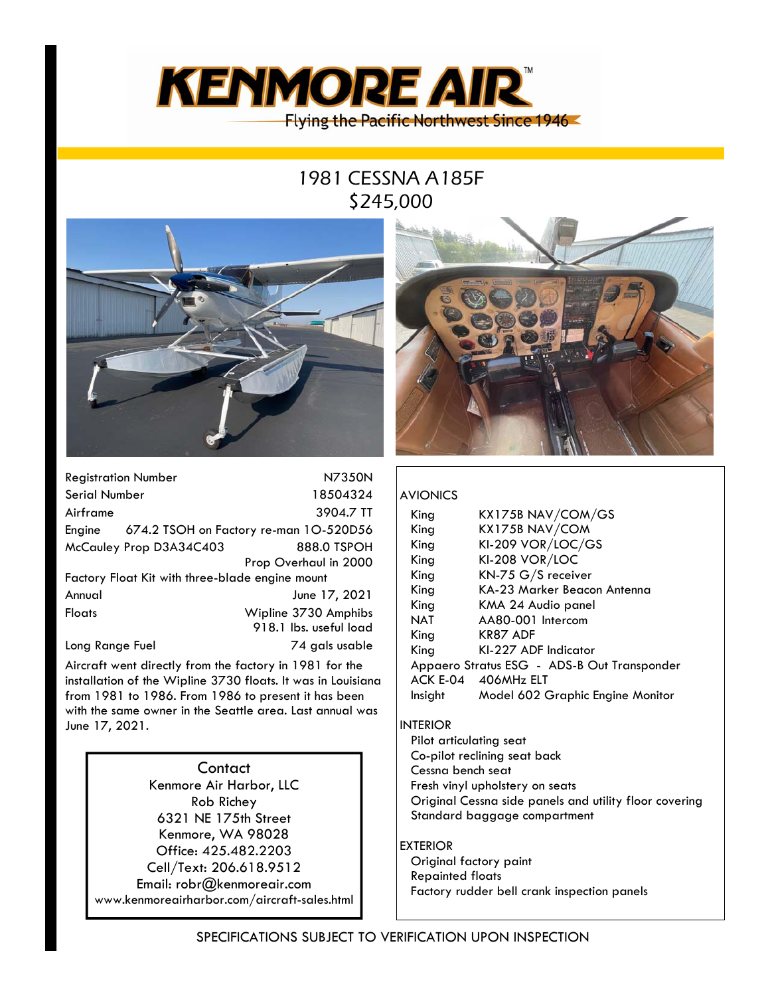

# 1981 CESSNA A185F \$245,000



| <b>Registration Number</b>                      |  | N7350N                                        |  |
|-------------------------------------------------|--|-----------------------------------------------|--|
| Serial Number                                   |  | 18504324                                      |  |
| Airframe                                        |  | 3904.7 TT                                     |  |
|                                                 |  | Engine 674.2 TSOH on Factory re-man 10-520D56 |  |
| McCauley Prop D3A34C403                         |  | 888.0 TSPOH                                   |  |
|                                                 |  | Prop Overhaul in 2000                         |  |
| Factory Float Kit with three-blade engine mount |  |                                               |  |
| Annual                                          |  | June 17, 2021                                 |  |
| <b>Floats</b>                                   |  | Wipline 3730 Amphibs                          |  |
|                                                 |  | 918.1 lbs. useful load                        |  |
| Long Range Fuel                                 |  | 74 gals usable                                |  |

Aircraft went directly from the factory in 1981 for the installation of the Wipline 3730 floats. It was in Louisiana from 1981 to 1986. From 1986 to present it has been with the same owner in the Seattle area. Last annual was June 17, 2021.

**Contact** Kenmore Air Harbor, LLC Rob Richey 6321 NE 175th Street Kenmore, WA 98028 Office: 425.482.2203 Cell/Text: 206.618.9512 Email: robr@kenmoreair.com www.kenmoreairharbor.com/aircraft-sales.html



### AVIONICS

| King<br>King<br>King<br>King<br>King<br>King<br>King<br>NAT<br>King | KX175B NAV/COM/GS<br>KX175B NAV/COM<br>KI-209 VOR/LOC/GS<br>KI-208 VOR/LOC<br>KN-75 G/S receiver<br>KA-23 Marker Beacon Antenna<br>KMA 24 Audio panel<br>AA80-001 Intercom<br><b>KR87 ADF</b> |
|---------------------------------------------------------------------|-----------------------------------------------------------------------------------------------------------------------------------------------------------------------------------------------|
|                                                                     |                                                                                                                                                                                               |
| King<br>ACK E-04<br>Insight                                         | KI-227 ADF Indicator<br>Appaero Stratus ESG - ADS-B Out Transponder<br>406MHz ELT<br>Model 602 Graphic Engine Monitor                                                                         |

#### INTERIOR

Pilot articulating seat Co-pilot reclining seat back Cessna bench seat Fresh vinyl upholstery on seats Original Cessna side panels and utility floor covering Standard baggage compartment

#### EXTERIOR

Original factory paint Repainted floats Factory rudder bell crank inspection panels

SPECIFICATIONS SUBJECT TO VERIFICATION UPON INSPECTION